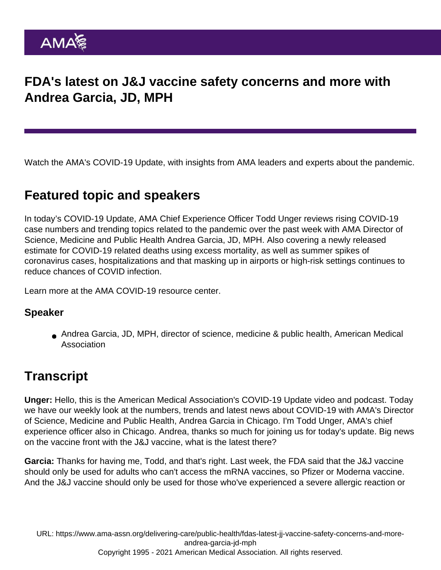## FDA's latest on J&J vaccine safety concerns and more with Andrea Garcia, JD, MPH

Watch the AMA's COVID-19 Update, with insights from AMA leaders and experts about the pandemic.

## Featured topic and speakers

In today's COVID-19 Update, AMA Chief Experience Officer Todd Unger reviews rising COVID-19 case numbers and trending topics related to the pandemic over the past week with AMA Director of Science, Medicine and Public Health Andrea Garcia, JD, MPH. Also covering a newly released estimate for COVID-19 related deaths using excess mortality, as well as summer spikes of coronavirus cases, hospitalizations and that masking up in airports or high-risk settings continues to reduce chances of COVID infection.

Learn more at the [AMA COVID-19 resource center](//www.ama-assn.org/delivering-care/public-health/covid-19-2019-novel-coronavirus-resource-center-physicians](https://www.ama-assn.org/delivering-care/public-health/covid-19-2019-novel-coronavirus-resource-center-physicians)).

## Speaker

Andrea Garcia, JD, MPH, director of science, medicine & public health, American Medical Association

## **Transcript**

Unger: Hello, this is the American Medical Association's COVID-19 Update video and podcast. Today we have our weekly look at the numbers, trends and latest news about COVID-19 with AMA's Director of Science, Medicine and Public Health, Andrea Garcia in Chicago. I'm Todd Unger, AMA's chief experience officer also in Chicago. Andrea, thanks so much for joining us for today's update. Big news on the vaccine front with the J&J vaccine, what is the latest there?

Garcia: Thanks for having me, Todd, and that's right. Last week, the FDA said that the J&J vaccine should only be used for adults who can't access the mRNA vaccines, so Pfizer or Moderna vaccine. And the J&J vaccine should only be used for those who've experienced a severe allergic reaction or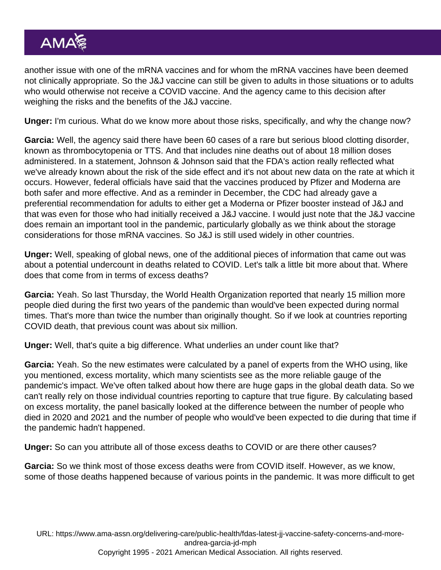another issue with one of the mRNA vaccines and for whom the mRNA vaccines have been deemed not clinically appropriate. So the J&J vaccine can still be given to adults in those situations or to adults who would otherwise not receive a COVID vaccine. And the agency came to this decision after weighing the risks and the benefits of the J&J vaccine.

Unger: I'm curious. What do we know more about those risks, specifically, and why the change now?

Garcia: Well, the agency said there have been 60 cases of a rare but serious blood clotting disorder, known as thrombocytopenia or TTS. And that includes nine deaths out of about 18 million doses administered. In a statement, Johnson & Johnson said that the FDA's action really reflected what we've already known about the risk of the side effect and it's not about new data on the rate at which it occurs. However, federal officials have said that the vaccines produced by Pfizer and Moderna are both safer and more effective. And as a reminder in December, the CDC had already gave a preferential recommendation for adults to either get a Moderna or Pfizer booster instead of J&J and that was even for those who had initially received a J&J vaccine. I would just note that the J&J vaccine does remain an important tool in the pandemic, particularly globally as we think about the storage considerations for those mRNA vaccines. So J&J is still used widely in other countries.

Unger: Well, speaking of global news, one of the additional pieces of information that came out was about a potential undercount in deaths related to COVID. Let's talk a little bit more about that. Where does that come from in terms of excess deaths?

Garcia: Yeah. So last Thursday, the World Health Organization reported that nearly 15 million more people died during the first two years of the pandemic than would've been expected during normal times. That's more than twice the number than originally thought. So if we look at countries reporting COVID death, that previous count was about six million.

Unger: Well, that's quite a big difference. What underlies an under count like that?

Garcia: Yeah. So the new estimates were calculated by a panel of experts from the WHO using, like you mentioned, excess mortality, which many scientists see as the more reliable gauge of the pandemic's impact. We've often talked about how there are huge gaps in the global death data. So we can't really rely on those individual countries reporting to capture that true figure. By calculating based on excess mortality, the panel basically looked at the difference between the number of people who died in 2020 and 2021 and the number of people who would've been expected to die during that time if the pandemic hadn't happened.

Unger: So can you attribute all of those excess deaths to COVID or are there other causes?

Garcia: So we think most of those excess deaths were from COVID itself. However, as we know, some of those deaths happened because of various points in the pandemic. It was more difficult to get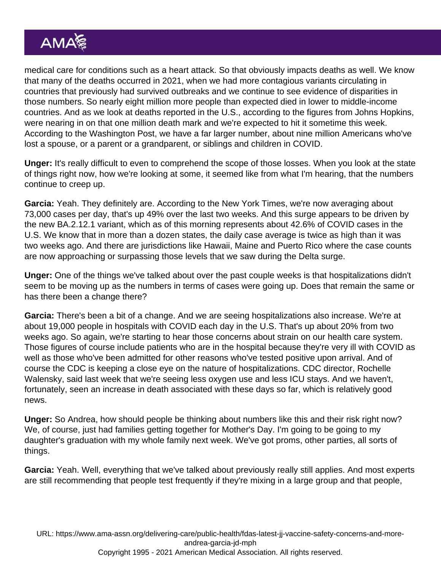medical care for conditions such as a heart attack. So that obviously impacts deaths as well. We know that many of the deaths occurred in 2021, when we had more contagious variants circulating in countries that previously had survived outbreaks and we continue to see evidence of disparities in those numbers. So nearly eight million more people than expected died in lower to middle-income countries. And as we look at deaths reported in the U.S., according to the figures from Johns Hopkins, were nearing in on that one million death mark and we're expected to hit it sometime this week. According to the Washington Post, we have a far larger number, about nine million Americans who've lost a spouse, or a parent or a grandparent, or siblings and children in COVID.

Unger: It's really difficult to even to comprehend the scope of those losses. When you look at the state of things right now, how we're looking at some, it seemed like from what I'm hearing, that the numbers continue to creep up.

Garcia: Yeah. They definitely are. According to the New York Times, we're now averaging about 73,000 cases per day, that's up 49% over the last two weeks. And this surge appears to be driven by the new BA.2.12.1 variant, which as of this morning represents about 42.6% of COVID cases in the U.S. We know that in more than a dozen states, the daily case average is twice as high than it was two weeks ago. And there are jurisdictions like Hawaii, Maine and Puerto Rico where the case counts are now approaching or surpassing those levels that we saw during the Delta surge.

Unger: One of the things we've talked about over the past couple weeks is that hospitalizations didn't seem to be moving up as the numbers in terms of cases were going up. Does that remain the same or has there been a change there?

Garcia: There's been a bit of a change. And we are seeing hospitalizations also increase. We're at about 19,000 people in hospitals with COVID each day in the U.S. That's up about 20% from two weeks ago. So again, we're starting to hear those concerns about strain on our health care system. Those figures of course include patients who are in the hospital because they're very ill with COVID as well as those who've been admitted for other reasons who've tested positive upon arrival. And of course the CDC is keeping a close eye on the nature of hospitalizations. CDC director, Rochelle Walensky, said last week that we're seeing less oxygen use and less ICU stays. And we haven't, fortunately, seen an increase in death associated with these days so far, which is relatively good news.

Unger: So Andrea, how should people be thinking about numbers like this and their risk right now? We, of course, just had families getting together for Mother's Day. I'm going to be going to my daughter's graduation with my whole family next week. We've got proms, other parties, all sorts of things.

Garcia: Yeah. Well, everything that we've talked about previously really still applies. And most experts are still recommending that people test frequently if they're mixing in a large group and that people,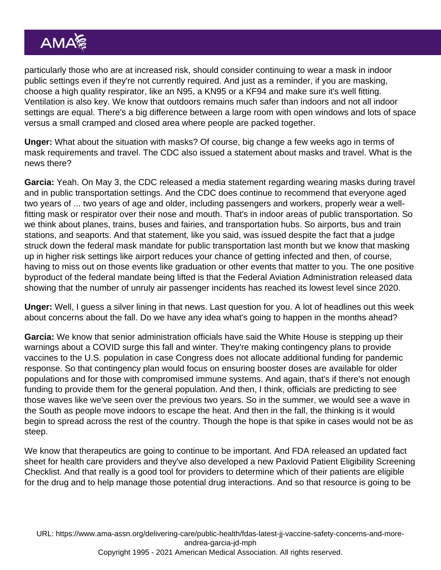particularly those who are at increased risk, should consider continuing to wear a mask in indoor public settings even if they're not currently required. And just as a reminder, if you are masking, choose a high quality respirator, like an N95, a KN95 or a KF94 and make sure it's well fitting. Ventilation is also key. We know that outdoors remains much safer than indoors and not all indoor settings are equal. There's a big difference between a large room with open windows and lots of space versus a small cramped and closed area where people are packed together.

Unger: What about the situation with masks? Of course, big change a few weeks ago in terms of mask requirements and travel. The CDC also issued a statement about masks and travel. What is the news there?

Garcia: Yeah. On May 3, the CDC released a media statement regarding wearing masks during travel and in public transportation settings. And the CDC does continue to recommend that everyone aged two years of ... two years of age and older, including passengers and workers, properly wear a wellfitting mask or respirator over their nose and mouth. That's in indoor areas of public transportation. So we think about planes, trains, buses and fairies, and transportation hubs. So airports, bus and train stations, and seaports. And that statement, like you said, was issued despite the fact that a judge struck down the federal mask mandate for public transportation last month but we know that masking up in higher risk settings like airport reduces your chance of getting infected and then, of course, having to miss out on those events like graduation or other events that matter to you. The one positive byproduct of the federal mandate being lifted is that the Federal Aviation Administration released data showing that the number of unruly air passenger incidents has reached its lowest level since 2020.

Unger: Well, I guess a silver lining in that news. Last question for you. A lot of headlines out this week about concerns about the fall. Do we have any idea what's going to happen in the months ahead?

Garcia: We know that senior administration officials have said the White House is stepping up their warnings about a COVID surge this fall and winter. They're making contingency plans to provide vaccines to the U.S. population in case Congress does not allocate additional funding for pandemic response. So that contingency plan would focus on ensuring booster doses are available for older populations and for those with compromised immune systems. And again, that's if there's not enough funding to provide them for the general population. And then, I think, officials are predicting to see those waves like we've seen over the previous two years. So in the summer, we would see a wave in the South as people move indoors to escape the heat. And then in the fall, the thinking is it would begin to spread across the rest of the country. Though the hope is that spike in cases would not be as steep.

We know that therapeutics are going to continue to be important. And FDA released an updated fact sheet for health care providers and they've also developed a new Paxlovid Patient Eligibility Screening Checklist. And that really is a good tool for providers to determine which of their patients are eligible for the drug and to help manage those potential drug interactions. And so that resource is going to be